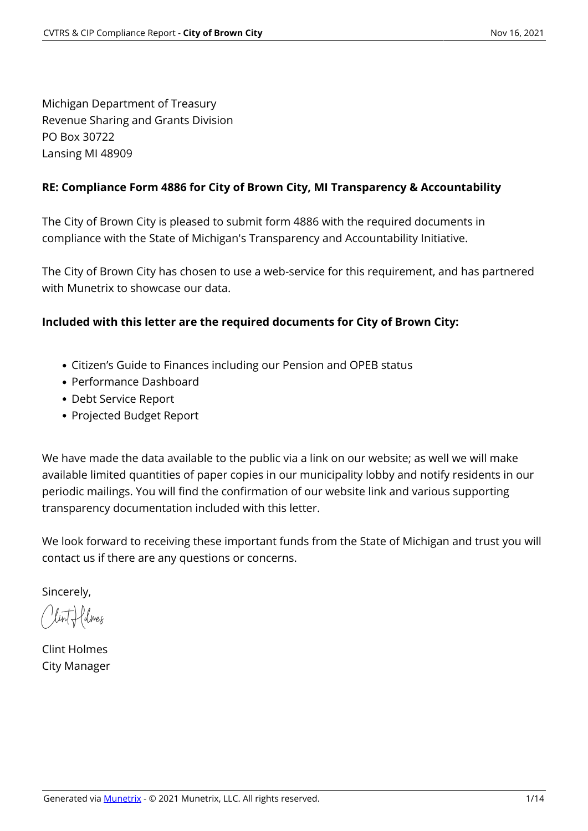Michigan Department of Treasury Revenue Sharing and Grants Division PO Box 30722 Lansing MI 48909

#### **RE: Compliance Form 4886 for City of Brown City, MI Transparency & Accountability**

The City of Brown City is pleased to submit form 4886 with the required documents in compliance with the State of Michigan's Transparency and Accountability Initiative.

The City of Brown City has chosen to use a web-service for this requirement, and has partnered with Munetrix to showcase our data.

### **Included with this letter are the required documents for City of Brown City:**

- Citizen's Guide to Finances including our Pension and OPEB status
- Performance Dashboard
- Debt Service Report
- Projected Budget Report

We have made the data available to the public via a link on our website; as well we will make available limited quantities of paper copies in our municipality lobby and notify residents in our periodic mailings. You will find the confirmation of our website link and various supporting transparency documentation included with this letter.

We look forward to receiving these important funds from the State of Michigan and trust you will contact us if there are any questions or concerns.

Sincerely,

Clint Holmes

Clint Holmes City Manager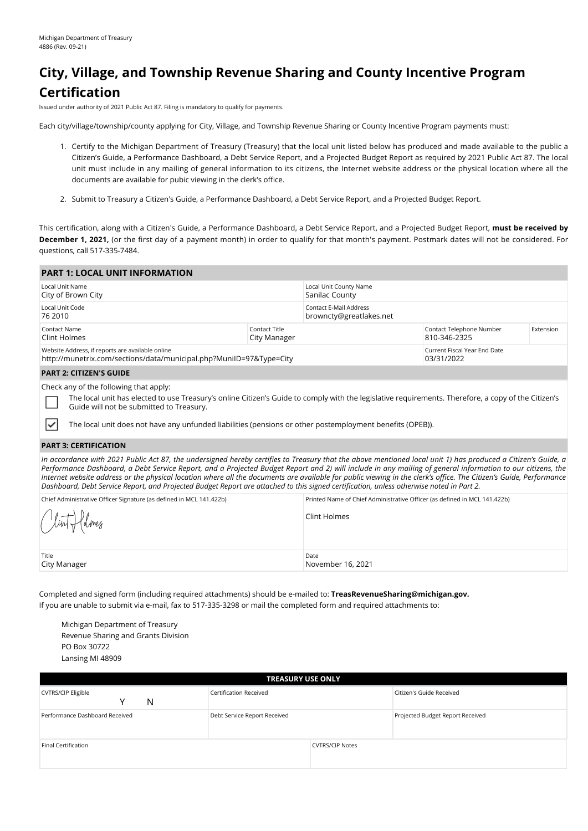# **City, Village, and Township Revenue Sharing and County Incentive Program Certification**

Issued under authority of 2021 Public Act 87. Filing is mandatory to qualify for payments.

Each city/village/township/county applying for City, Village, and Township Revenue Sharing or County Incentive Program payments must:

- 1. Certify to the Michigan Department of Treasury (Treasury) that the local unit listed below has produced and made available to the public a Citizen's Guide, a Performance Dashboard, a Debt Service Report, and a Projected Budget Report as required by 2021 Public Act 87. The local unit must include in any mailing of general information to its citizens, the Internet website address or the physical location where all the documents are available for pubic viewing in the clerk's office.
- 2. Submit to Treasury a Citizen's Guide, a Performance Dashboard, a Debt Service Report, and a Projected Budget Report.

This certification, along with a Citizen's Guide, a Performance Dashboard, a Debt Service Report, and a Projected Budget Report, **must be received by December 1, 2021,** (or the first day of a payment month) in order to qualify for that month's payment. Postmark dates will not be considered. For questions, call 517-335-7484.

| <b>PART 1: LOCAL UNIT INFORMATION</b>                                                                                   |                               |                                                   |                                            |           |  |
|-------------------------------------------------------------------------------------------------------------------------|-------------------------------|---------------------------------------------------|--------------------------------------------|-----------|--|
| Local Unit Name<br>City of Brown City                                                                                   |                               | Local Unit County Name<br>Sanilac County          |                                            |           |  |
| Local Unit Code<br>76 2010                                                                                              |                               | Contact E-Mail Address<br>browncty@greatlakes.net |                                            |           |  |
| Contact Name<br>Clint Holmes                                                                                            | Contact Title<br>City Manager |                                                   | Contact Telephone Number<br>810-346-2325   | Extension |  |
| Website Address, if reports are available online<br>http://munetrix.com/sections/data/municipal.php?MunilD=97&Type=City |                               |                                                   | Current Fiscal Year End Date<br>03/31/2022 |           |  |
| <b>PART 2: CITIZEN'S GUIDE</b>                                                                                          |                               |                                                   |                                            |           |  |
| Check any of the following that apply:                                                                                  |                               |                                                   |                                            |           |  |

The local unit has elected to use Treasury's online Citizen's Guide to comply with the legislative requirements. Therefore, a copy of the Citizen's Guide will not be submitted to Treasury.

The local unit does not have any unfunded liabilities (pensions or other postemployment benefits (OPEB)).

#### **PART 3: CERTIFICATION**

₹

*In accordance with 2021 Public Act 87, the undersigned hereby certifies to Treasury that the above mentioned local unit 1) has produced a Citizen's Guide, a Performance Dashboard, a Debt Service Report, and a Projected Budget Report and 2) will include in any mailing of general information to our citizens, the Internet website address or the physical location where all the documents are available for public viewing in the clerk's office. The Citizen's Guide, Performance Dashboard, Debt Service Report, and Projected Budget Report are attached to this signed certification, unless otherwise noted in Part 2.*

| Chief Administrative Officer Signature (as defined in MCL 141.422b) | Printed Name of Chief Administrative Officer (as defined in MCL 141.422b) |
|---------------------------------------------------------------------|---------------------------------------------------------------------------|
| Clint flolmes                                                       | Clint Holmes                                                              |
| Title<br>City Manager                                               | Date<br>November 16, 2021                                                 |

Completed and signed form (including required attachments) should be e-mailed to: **TreasRevenueSharing@michigan.gov.** If you are unable to submit via e-mail, fax to 517-335-3298 or mail the completed form and required attachments to:

Michigan Department of Treasury Revenue Sharing and Grants Division PO Box 30722 Lansing MI 48909

| <b>TREASURY USE ONLY</b>            |                               |                        |                                  |  |  |  |  |  |
|-------------------------------------|-------------------------------|------------------------|----------------------------------|--|--|--|--|--|
| <b>CVTRS/CIP Eligible</b><br>N<br>v | <b>Certification Received</b> |                        | Citizen's Guide Received         |  |  |  |  |  |
| Performance Dashboard Received      | Debt Service Report Received  |                        | Projected Budget Report Received |  |  |  |  |  |
| Final Certification                 |                               | <b>CVTRS/CIP Notes</b> |                                  |  |  |  |  |  |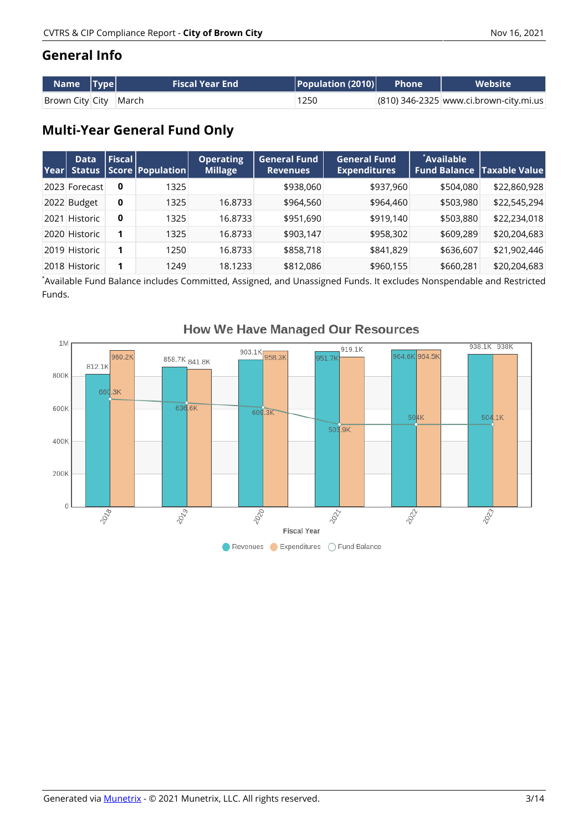### **General Info**

| $\blacksquare$ Name $\blacksquare$ Type $\blacksquare$ | <b>Fiscal Year End</b> | $\mid$ Population (2010) $\mid$ | Phone | <b>Website</b>                         |
|--------------------------------------------------------|------------------------|---------------------------------|-------|----------------------------------------|
| Brown City City March                                  |                        | 1250                            |       | (810) 346-2325 www.ci.brown-city.mi.us |

# **Multi-Year General Fund Only**

| Year | <b>Data</b><br><b>Status</b> | <b>Fiscal</b> | Score   Population | <b>Operating</b><br><b>Millage</b> | <b>General Fund</b><br><b>Revenues</b> | General Fund<br><b>Expenditures</b> | `Available | <b>Fund Balance   Taxable Value </b> |
|------|------------------------------|---------------|--------------------|------------------------------------|----------------------------------------|-------------------------------------|------------|--------------------------------------|
|      | 2023 Forecast                | 0             | 1325               |                                    | \$938,060                              | \$937,960                           | \$504,080  | \$22,860,928                         |
|      | 2022 Budget                  | 0             | 1325               | 16.8733                            | \$964,560                              | \$964,460                           | \$503,980  | \$22,545,294                         |
| 2021 | <b>Historic</b>              | 0             | 1325               | 16.8733                            | \$951,690                              | \$919,140                           | \$503,880  | \$22,234,018                         |
|      | 2020 Historic                |               | 1325               | 16.8733                            | \$903,147                              | \$958,302                           | \$609,289  | \$20,204,683                         |
|      | 2019 Historic                |               | 1250               | 16.8733                            | \$858,718                              | \$841,829                           | \$636,607  | \$21,902,446                         |
|      | 2018 Historic                |               | 1249               | 18.1233                            | \$812,086                              | \$960,155                           | \$660,281  | \$20,204,683                         |

\* Available Fund Balance includes Committed, Assigned, and Unassigned Funds. It excludes Nonspendable and Restricted Funds.



### **How We Have Managed Our Resources**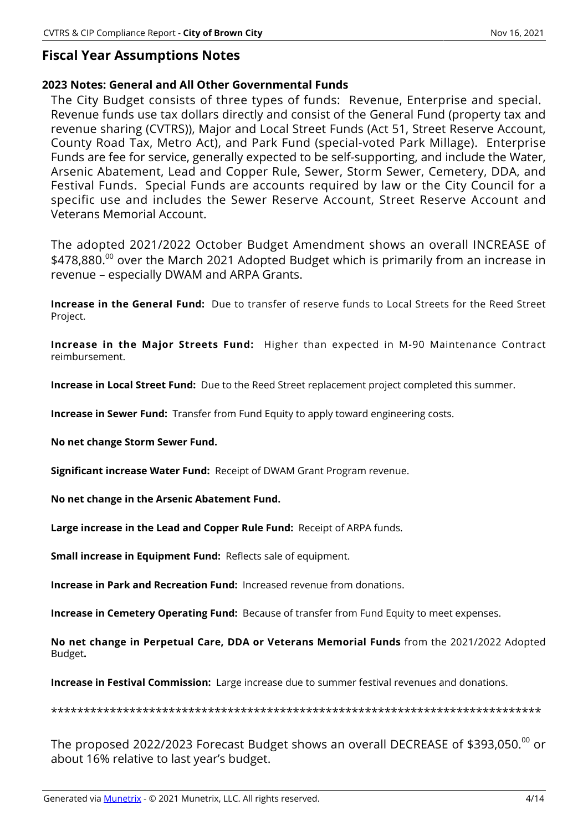### **Fiscal Year Assumptions Notes**

#### **2023 Notes: General and All Other Governmental Funds**

The City Budget consists of three types of funds: Revenue, Enterprise and special. Revenue funds use tax dollars directly and consist of the General Fund (property tax and revenue sharing (CVTRS)), Major and Local Street Funds (Act 51, Street Reserve Account, County Road Tax, Metro Act), and Park Fund (special-voted Park Millage). Enterprise Funds are fee for service, generally expected to be self-supporting, and include the Water, Arsenic Abatement, Lead and Copper Rule, Sewer, Storm Sewer, Cemetery, DDA, and Festival Funds. Special Funds are accounts required by law or the City Council for a specific use and includes the Sewer Reserve Account, Street Reserve Account and Veterans Memorial Account.

The adopted 2021/2022 October Budget Amendment shows an overall INCREASE of \$478,880.<sup>00</sup> over the March 2021 Adopted Budget which is primarily from an increase in revenue – especially DWAM and ARPA Grants.

**Increase in the General Fund:** Due to transfer of reserve funds to Local Streets for the Reed Street Project.

**Increase in the Major Streets Fund:** Higher than expected in M-90 Maintenance Contract reimbursement.

**Increase in Local Street Fund:** Due to the Reed Street replacement project completed this summer.

**Increase in Sewer Fund:** Transfer from Fund Equity to apply toward engineering costs.

**No net change Storm Sewer Fund.**

**Significant increase Water Fund:** Receipt of DWAM Grant Program revenue.

**No net change in the Arsenic Abatement Fund.**

**Large increase in the Lead and Copper Rule Fund:** Receipt of ARPA funds.

**Small increase in Equipment Fund:** Reflects sale of equipment.

**Increase in Park and Recreation Fund:** Increased revenue from donations.

**Increase in Cemetery Operating Fund:** Because of transfer from Fund Equity to meet expenses.

**No net change in Perpetual Care, DDA or Veterans Memorial Funds** from the 2021/2022 Adopted Budget**.**

**Increase in Festival Commission:** Large increase due to summer festival revenues and donations.

\*\*\*\*\*\*\*\*\*\*\*\*\*\*\*\*\*\*\*\*\*\*\*\*\*\*\*\*\*\*\*\*\*\*\*\*\*\*\*\*\*\*\*\*\*\*\*\*\*\*\*\*\*\*\*\*\*\*\*\*\*\*\*\*\*\*\*\*\*\*\*\*\*\*\*

The proposed 2022/2023 Forecast Budget shows an overall DECREASE of \$393,050. $^{00}$  or about 16% relative to last year's budget.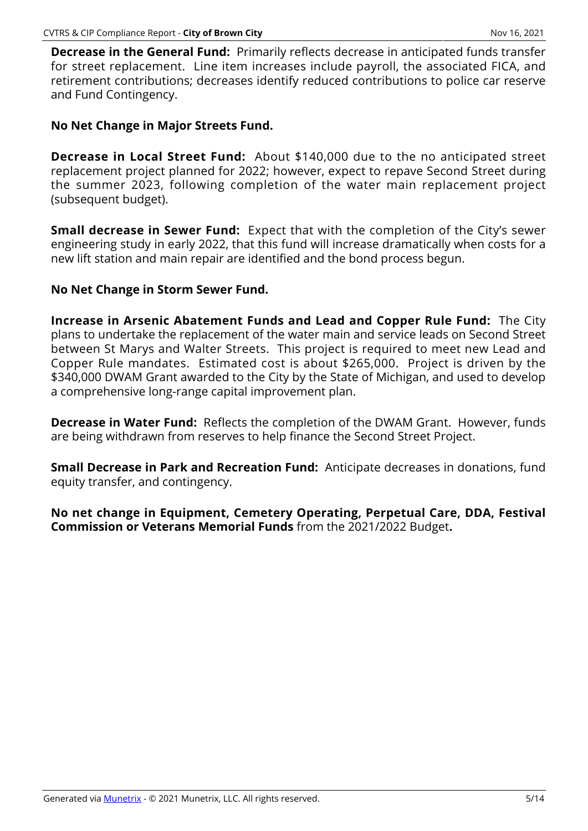**Decrease in the General Fund:** Primarily reflects decrease in anticipated funds transfer for street replacement. Line item increases include payroll, the associated FICA, and retirement contributions; decreases identify reduced contributions to police car reserve and Fund Contingency.

### **No Net Change in Major Streets Fund.**

**Decrease in Local Street Fund:** About \$140,000 due to the no anticipated street replacement project planned for 2022; however, expect to repave Second Street during the summer 2023, following completion of the water main replacement project (subsequent budget).

**Small decrease in Sewer Fund:** Expect that with the completion of the City's sewer engineering study in early 2022, that this fund will increase dramatically when costs for a new lift station and main repair are identified and the bond process begun.

### **No Net Change in Storm Sewer Fund.**

**Increase in Arsenic Abatement Funds and Lead and Copper Rule Fund:** The City plans to undertake the replacement of the water main and service leads on Second Street between St Marys and Walter Streets. This project is required to meet new Lead and Copper Rule mandates. Estimated cost is about \$265,000. Project is driven by the \$340,000 DWAM Grant awarded to the City by the State of Michigan, and used to develop a comprehensive long-range capital improvement plan.

**Decrease in Water Fund:** Reflects the completion of the DWAM Grant. However, funds are being withdrawn from reserves to help finance the Second Street Project.

**Small Decrease in Park and Recreation Fund:** Anticipate decreases in donations, fund equity transfer, and contingency.

**No net change in Equipment, Cemetery Operating, Perpetual Care, DDA, Festival Commission or Veterans Memorial Funds** from the 2021/2022 Budget**.**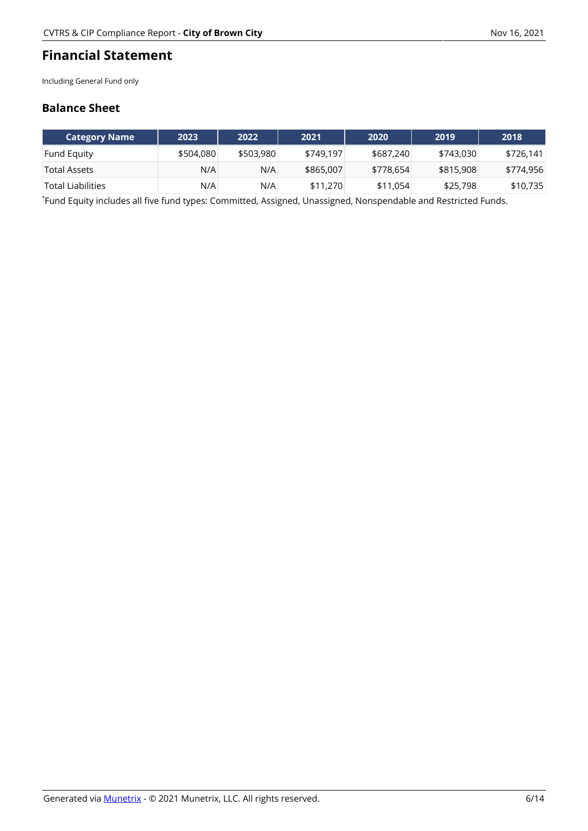### **Financial Statement**

Including General Fund only

#### **Balance Sheet**

| <b>Category Name</b> | 2023      | 2022      | 2021      | 2020      | 2019      | 2018      |
|----------------------|-----------|-----------|-----------|-----------|-----------|-----------|
| <b>Fund Equity</b>   | \$504,080 | \$503,980 | \$749.197 | \$687,240 | \$743,030 | \$726.141 |
| Total Assets         | N/A       | N/A       | \$865,007 | \$778,654 | \$815,908 | \$774,956 |
| `Total Liabilities   | N/A       | N/A       | \$11,270  | \$11,054  | \$25,798  | \$10,735  |

\* Fund Equity includes all five fund types: Committed, Assigned, Unassigned, Nonspendable and Restricted Funds.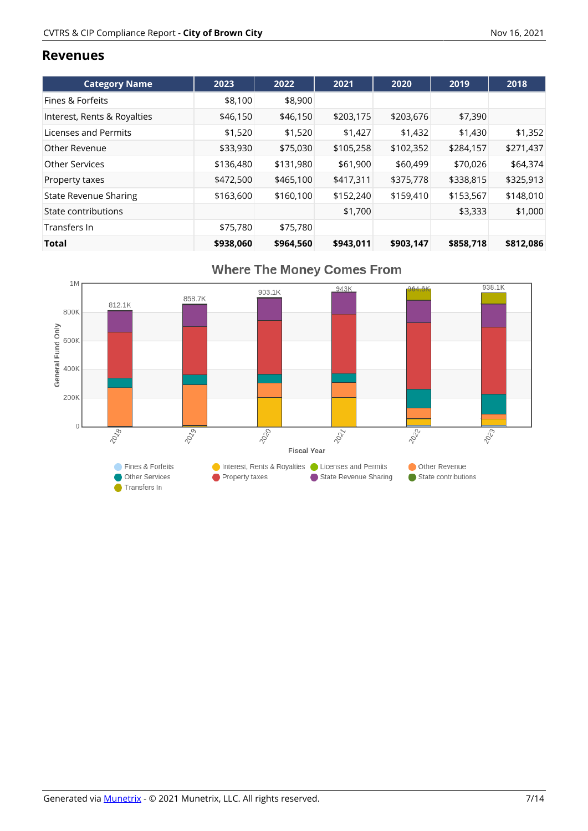#### **Revenues**

| <b>Category Name</b>         | 2023      | 2022      | 2021      | 2020      | 2019      | 2018      |
|------------------------------|-----------|-----------|-----------|-----------|-----------|-----------|
| Fines & Forfeits             | \$8,100   | \$8,900   |           |           |           |           |
| Interest, Rents & Royalties  | \$46,150  | \$46,150  | \$203,175 | \$203,676 | \$7,390   |           |
| Licenses and Permits         | \$1.520   | \$1,520   | \$1,427   | \$1,432   | \$1,430   | \$1,352   |
| Other Revenue                | \$33,930  | \$75,030  | \$105,258 | \$102,352 | \$284,157 | \$271,437 |
| Other Services               | \$136,480 | \$131,980 | \$61,900  | \$60,499  | \$70,026  | \$64,374  |
| Property taxes               | \$472,500 | \$465,100 | \$417,311 | \$375,778 | \$338,815 | \$325,913 |
| <b>State Revenue Sharing</b> | \$163,600 | \$160,100 | \$152,240 | \$159,410 | \$153,567 | \$148,010 |
| State contributions          |           |           | \$1,700   |           | \$3,333   | \$1,000   |
| Transfers In                 | \$75,780  | \$75,780  |           |           |           |           |
| <b>Total</b>                 | \$938,060 | \$964,560 | \$943.011 | \$903.147 | \$858.718 | \$812,086 |



# **Where The Money Comes From**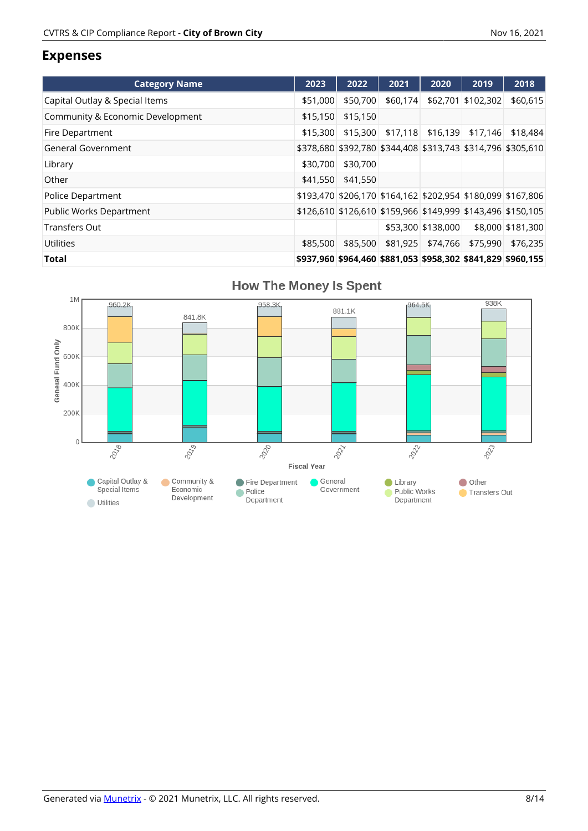### **Expenses**

| <b>Category Name</b>             | 2023     | 2022              | 2021     | 2020                | 2019                                                        | 2018              |
|----------------------------------|----------|-------------------|----------|---------------------|-------------------------------------------------------------|-------------------|
| Capital Outlay & Special Items   | \$51,000 | \$50,700          | \$60,174 |                     | \$62,701 \$102,302                                          | \$60,615          |
| Community & Economic Development | \$15,150 | \$15,150          |          |                     |                                                             |                   |
| Fire Department                  | \$15.300 | \$15,300          |          | $$17,118$ $$16,139$ | \$17.146                                                    | \$18,484          |
| General Government               |          |                   |          |                     | \$378,680 \$392,780 \$344,408 \$313,743 \$314,796 \$305,610 |                   |
| Library                          | \$30,700 | \$30,700          |          |                     |                                                             |                   |
| Other                            |          | \$41,550 \$41,550 |          |                     |                                                             |                   |
| Police Department                |          |                   |          |                     | \$193,470 \$206,170 \$164,162 \$202,954 \$180,099 \$167,806 |                   |
| Public Works Department          |          |                   |          |                     | \$126,610 \$126,610 \$159,966 \$149,999 \$143,496 \$150,105 |                   |
| <b>Transfers Out</b>             |          |                   |          | \$53,300 \$138,000  |                                                             | \$8,000 \$181,300 |
| Utilities                        | \$85,500 | \$85,500          |          | \$81,925 \$74,766   | \$75,990                                                    | \$76,235          |
| <b>Total</b>                     |          |                   |          |                     | \$937,960 \$964,460 \$881,053 \$958,302 \$841,829 \$960,155 |                   |



### **How The Money Is Spent**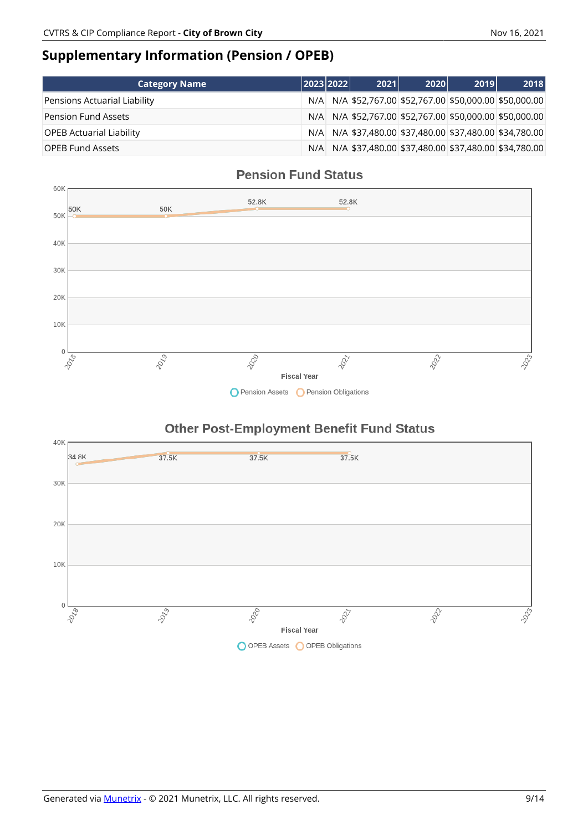### **Supplementary Information (Pension / OPEB)**

| <b>Category Name</b>            | 2023 2022 | 2021                                                | 2020 | 2019 | 2018                                                |
|---------------------------------|-----------|-----------------------------------------------------|------|------|-----------------------------------------------------|
| Pensions Actuarial Liability    | N/A       | N/A \$52,767.00 \$52,767.00 \$50,000.00 \$50,000.00 |      |      |                                                     |
| <b>Pension Fund Assets</b>      | N/A       |                                                     |      |      | N/A \$52,767.00 \$52,767.00 \$50,000.00 \$50,000.00 |
| <b>OPEB Actuarial Liability</b> | N/A       |                                                     |      |      | N/A \$37,480.00 \$37,480.00 \$37,480.00 \$34,780.00 |
| <b>OPEB Fund Assets</b>         | N/A       |                                                     |      |      | N/A \$37,480.00 \$37,480.00 \$37,480.00 \$34,780.00 |

### **Pension Fund Status**



### **Other Post-Employment Benefit Fund Status**

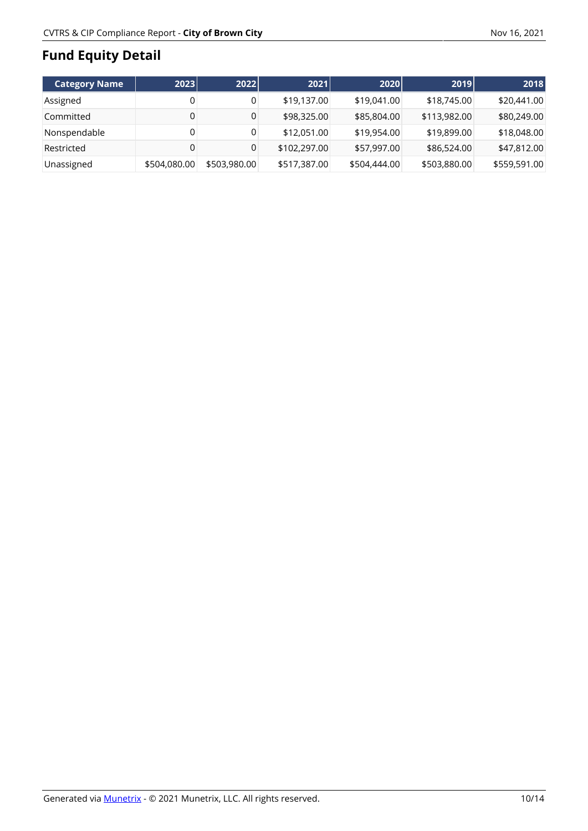# **Fund Equity Detail**

| <b>Category Name</b> | 2023         | 2022         | 2021         | 2020         | 2019         | 2018         |
|----------------------|--------------|--------------|--------------|--------------|--------------|--------------|
| Assigned             | 0            |              | \$19,137.00  | \$19,041.00  | \$18,745.00  | \$20,441.00  |
| Committed            | 0            |              | \$98,325.00  | \$85,804.00  | \$113,982.00 | \$80,249.00  |
| Nonspendable         | 0            |              | \$12,051.00  | \$19,954.00  | \$19,899.00  | \$18,048.00  |
| Restricted           | 0            |              | \$102,297.00 | \$57,997.00  | \$86,524.00  | \$47,812.00  |
| Unassigned           | \$504,080.00 | \$503,980.00 | \$517,387.00 | \$504,444.00 | \$503,880.00 | \$559,591.00 |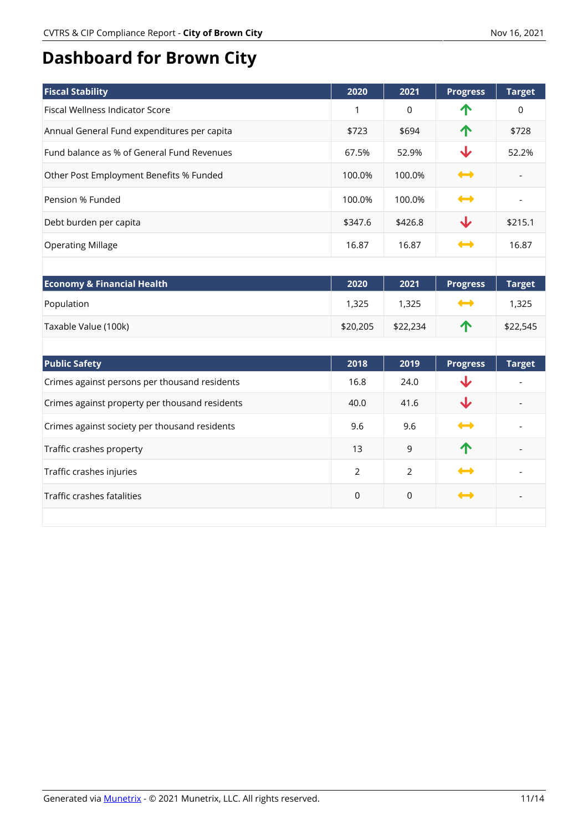# **Dashboard for Brown City**

| <b>Fiscal Stability</b>                        | 2020           | 2021        | <b>Progress</b>   | <b>Target</b>  |
|------------------------------------------------|----------------|-------------|-------------------|----------------|
| <b>Fiscal Wellness Indicator Score</b>         | $\mathbf{1}$   | $\mathbf 0$ | 个                 | $\Omega$       |
| Annual General Fund expenditures per capita    | \$723          | \$694       | 个                 | \$728          |
| Fund balance as % of General Fund Revenues     | 67.5%          | 52.9%       | ↓                 | 52.2%          |
| Other Post Employment Benefits % Funded        | 100.0%         | 100.0%      | $\leftrightarrow$ |                |
| Pension % Funded                               | 100.0%         | 100.0%      | $\rightarrow$     | $\overline{a}$ |
| Debt burden per capita                         | \$347.6        | \$426.8     | ↓                 | \$215.1        |
| <b>Operating Millage</b>                       | 16.87          | 16.87       | $\rightarrow$     | 16.87          |
|                                                |                |             |                   |                |
| <b>Economy &amp; Financial Health</b>          | 2020           | 2021        | <b>Progress</b>   | <b>Target</b>  |
| Population                                     | 1,325          | 1,325       | ⊷                 | 1,325          |
| Taxable Value (100k)                           | \$20,205       | \$22,234    | ↑                 | \$22,545       |
|                                                |                |             |                   |                |
| <b>Public Safety</b>                           | 2018           | 2019        | <b>Progress</b>   | <b>Target</b>  |
| Crimes against persons per thousand residents  | 16.8           | 24.0        | ↓                 |                |
| Crimes against property per thousand residents | 40.0           | 41.6        | ↓                 |                |
| Crimes against society per thousand residents  | 9.6            | 9.6         | $\rightarrow$     |                |
| Traffic crashes property                       | 13             | 9           | ↑                 |                |
| Traffic crashes injuries                       | $\overline{2}$ | 2           | ⇔                 |                |
| Traffic crashes fatalities                     | $\mathbf 0$    | $\mathsf 0$ | $\rightarrow$     |                |
|                                                |                |             |                   |                |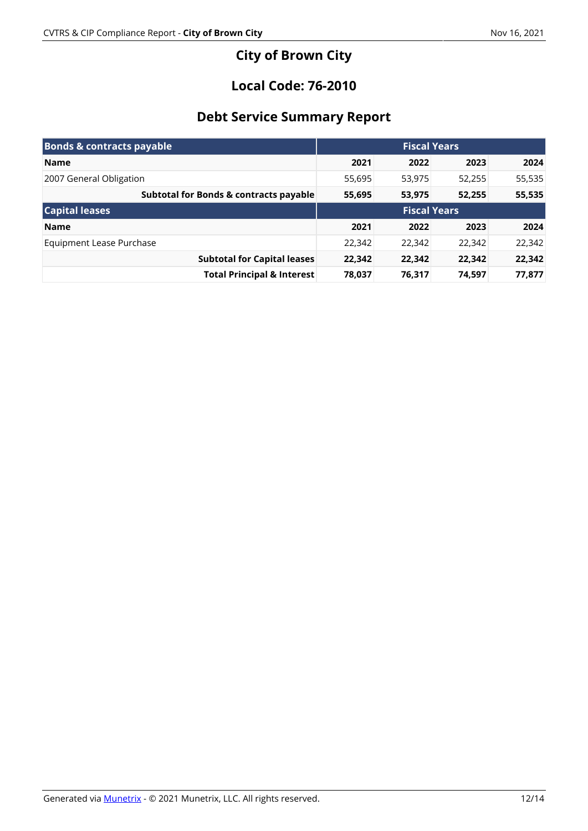# **City of Brown City**

### **Local Code: 76-2010**

# **Debt Service Summary Report**

| <b>Bonds &amp; contracts payable</b>   |                     |        | <b>Fiscal Years</b> |        |
|----------------------------------------|---------------------|--------|---------------------|--------|
| <b>Name</b>                            | 2021                | 2022   | 2023                | 2024   |
| 2007 General Obligation                | 55,695              | 53,975 | 52,255              | 55,535 |
| Subtotal for Bonds & contracts payable | 55,695              | 53,975 | 52,255              | 55,535 |
| <b>Capital leases</b>                  | <b>Fiscal Years</b> |        |                     |        |
| <b>Name</b>                            | 2021                | 2022   | 2023                | 2024   |
| Equipment Lease Purchase               | 22,342              | 22,342 | 22,342              | 22,342 |
| <b>Subtotal for Capital leases</b>     | 22,342              | 22,342 | 22,342              | 22,342 |
| <b>Total Principal &amp; Interest</b>  | 78,037              | 76,317 | 74,597              | 77,877 |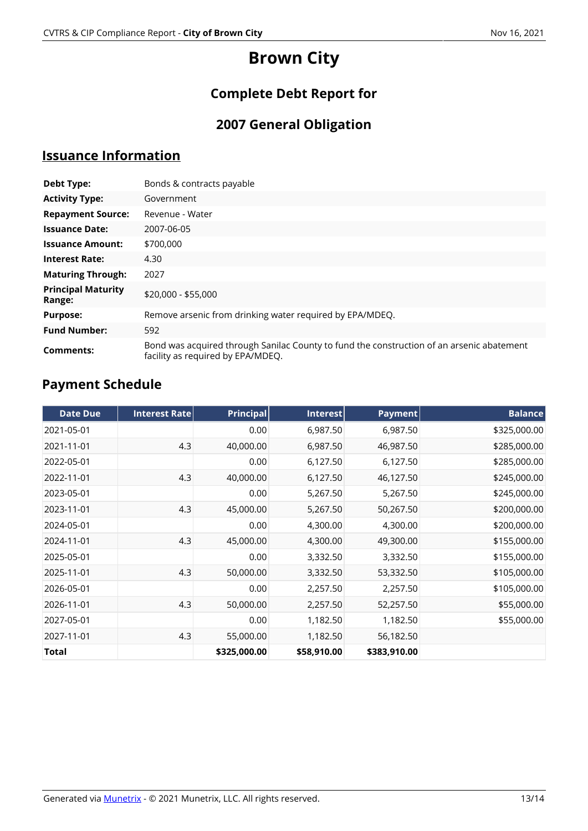# **Brown City**

# **Complete Debt Report for**

# **2007 General Obligation**

### **Issuance Information**

| Debt Type:                          | Bonds & contracts payable                                                                                                      |  |  |  |
|-------------------------------------|--------------------------------------------------------------------------------------------------------------------------------|--|--|--|
| <b>Activity Type:</b>               | Government                                                                                                                     |  |  |  |
| <b>Repayment Source:</b>            | Revenue - Water                                                                                                                |  |  |  |
| <b>Issuance Date:</b>               | 2007-06-05                                                                                                                     |  |  |  |
| <b>Issuance Amount:</b>             | \$700,000                                                                                                                      |  |  |  |
| <b>Interest Rate:</b>               | 4.30                                                                                                                           |  |  |  |
| <b>Maturing Through:</b>            | 2027                                                                                                                           |  |  |  |
| <b>Principal Maturity</b><br>Range: | \$20,000 - \$55,000                                                                                                            |  |  |  |
| <b>Purpose:</b>                     | Remove arsenic from drinking water required by EPA/MDEQ.                                                                       |  |  |  |
| <b>Fund Number:</b>                 | 592                                                                                                                            |  |  |  |
| Comments:                           | Bond was acquired through Sanilac County to fund the construction of an arsenic abatement<br>facility as required by EPA/MDEQ. |  |  |  |

# **Payment Schedule**

| <b>Date Due</b> | Interest Rate | <b>Principal</b> | Interest    | Payment      | <b>Balance</b> |
|-----------------|---------------|------------------|-------------|--------------|----------------|
| 2021-05-01      |               | 0.00             | 6,987.50    | 6,987.50     | \$325,000.00   |
| 2021-11-01      | 4.3           | 40,000.00        | 6,987.50    | 46,987.50    | \$285,000.00   |
| 2022-05-01      |               | 0.00             | 6,127.50    | 6,127.50     | \$285,000.00   |
| 2022-11-01      | 4.3           | 40,000.00        | 6,127.50    | 46,127.50    | \$245,000.00   |
| 2023-05-01      |               | 0.00             | 5,267.50    | 5,267.50     | \$245,000.00   |
| 2023-11-01      | 4.3           | 45,000.00        | 5,267.50    | 50,267.50    | \$200,000.00   |
| 2024-05-01      |               | 0.00             | 4,300.00    | 4,300.00     | \$200,000.00   |
| 2024-11-01      | 4.3           | 45,000.00        | 4,300.00    | 49,300.00    | \$155,000.00   |
| 2025-05-01      |               | 0.00             | 3,332.50    | 3,332.50     | \$155,000.00   |
| 2025-11-01      | 4.3           | 50,000.00        | 3,332.50    | 53,332.50    | \$105,000.00   |
| 2026-05-01      |               | 0.00             | 2,257.50    | 2,257.50     | \$105,000.00   |
| 2026-11-01      | 4.3           | 50,000.00        | 2,257.50    | 52,257.50    | \$55,000.00    |
| 2027-05-01      |               | 0.00             | 1,182.50    | 1,182.50     | \$55,000.00    |
| 2027-11-01      | 4.3           | 55,000.00        | 1,182.50    | 56,182.50    |                |
| Total           |               | \$325,000.00     | \$58,910.00 | \$383,910.00 |                |